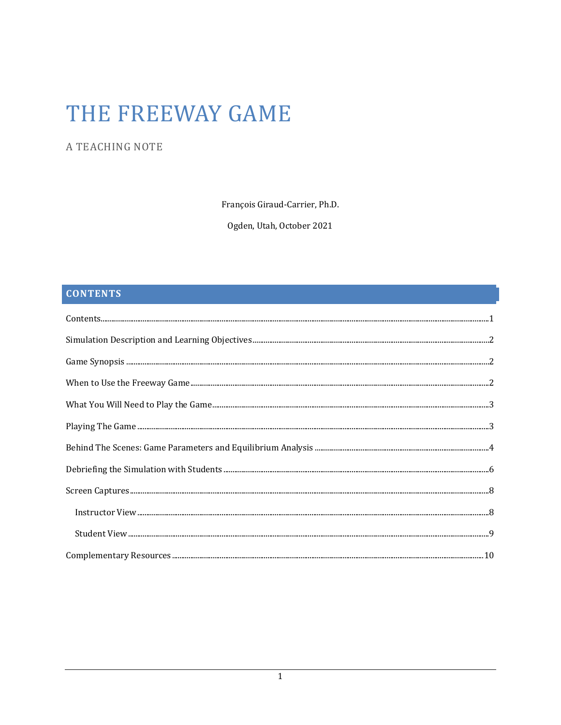# THE FREEWAY GAME

# A TEACHING NOTE

François Giraud-Carrier, Ph.D.

Ogden, Utah, October 2021

# **CONTENTS**

| $\textbf{Contents.} \textcolor{red}{\textbf{Contents.} \textbf{1}} \textcolor{red}{\textbf{1}} \textcolor{red}{\textbf{1}}$ |  |
|-----------------------------------------------------------------------------------------------------------------------------|--|
|                                                                                                                             |  |
|                                                                                                                             |  |
|                                                                                                                             |  |
|                                                                                                                             |  |
|                                                                                                                             |  |
|                                                                                                                             |  |
|                                                                                                                             |  |
|                                                                                                                             |  |
|                                                                                                                             |  |
|                                                                                                                             |  |
|                                                                                                                             |  |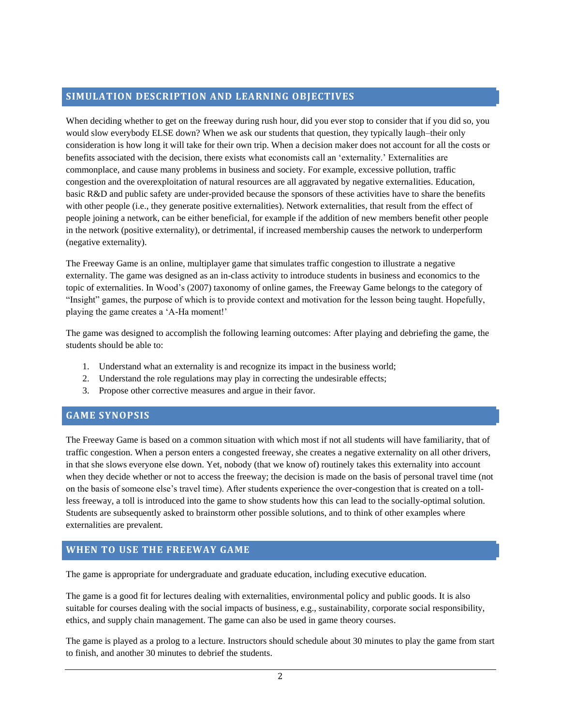# **SIMULATION DESCRIPTION AND LEARNING OBJECTIVES**

When deciding whether to get on the freeway during rush hour, did you ever stop to consider that if you did so, you would slow everybody ELSE down? When we ask our students that question, they typically laugh–their only consideration is how long it will take for their own trip. When a decision maker does not account for all the costs or benefits associated with the decision, there exists what economists call an 'externality.' Externalities are commonplace, and cause many problems in business and society. For example, excessive pollution, traffic congestion and the overexploitation of natural resources are all aggravated by negative externalities. Education, basic R&D and public safety are under-provided because the sponsors of these activities have to share the benefits with other people (i.e., they generate positive externalities). Network externalities, that result from the effect of people joining a network, can be either beneficial, for example if the addition of new members benefit other people in the network (positive externality), or detrimental, if increased membership causes the network to underperform (negative externality).

The Freeway Game is an online, multiplayer game that simulates traffic congestion to illustrate a negative externality. The game was designed as an in-class activity to introduce students in business and economics to the topic of externalities. In Wood's (2007) taxonomy of online games, the Freeway Game belongs to the category of "Insight" games, the purpose of which is to provide context and motivation for the lesson being taught. Hopefully, playing the game creates a 'A-Ha moment!'

The game was designed to accomplish the following learning outcomes: After playing and debriefing the game, the students should be able to:

- 1. Understand what an externality is and recognize its impact in the business world;
- 2. Understand the role regulations may play in correcting the undesirable effects;
- 3. Propose other corrective measures and argue in their favor.

# **GAME SYNOPSIS**

The Freeway Game is based on a common situation with which most if not all students will have familiarity, that of traffic congestion. When a person enters a congested freeway, she creates a negative externality on all other drivers, in that she slows everyone else down. Yet, nobody (that we know of) routinely takes this externality into account when they decide whether or not to access the freeway; the decision is made on the basis of personal travel time (not on the basis of someone else's travel time). After students experience the over-congestion that is created on a tollless freeway, a toll is introduced into the game to show students how this can lead to the socially-optimal solution. Students are subsequently asked to brainstorm other possible solutions, and to think of other examples where externalities are prevalent.

# **WHEN TO USE THE FREEWAY GAME**

The game is appropriate for undergraduate and graduate education, including executive education.

The game is a good fit for lectures dealing with externalities, environmental policy and public goods. It is also suitable for courses dealing with the social impacts of business, e.g., sustainability, corporate social responsibility, ethics, and supply chain management. The game can also be used in game theory courses.

The game is played as a prolog to a lecture. Instructors should schedule about 30 minutes to play the game from start to finish, and another 30 minutes to debrief the students.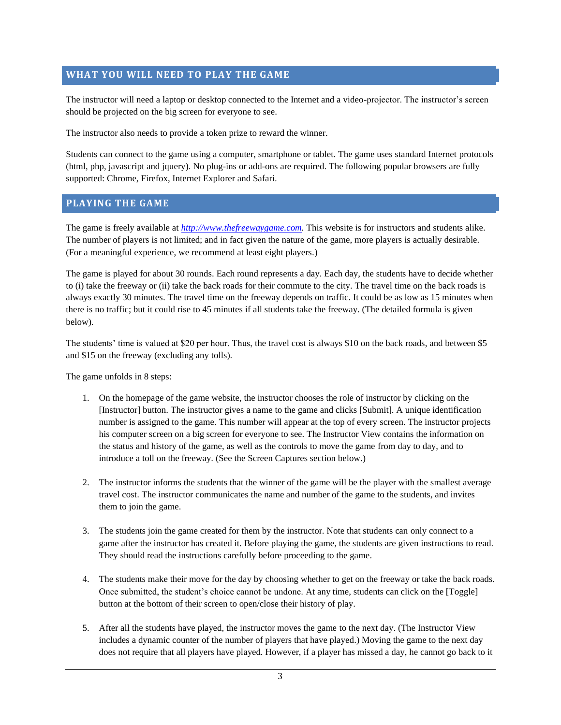# **WHAT YOU WILL NEED TO PLAY THE GAME**

The instructor will need a laptop or desktop connected to the Internet and a video-projector. The instructor's screen should be projected on the big screen for everyone to see.

The instructor also needs to provide a token prize to reward the winner.

Students can connect to the game using a computer, smartphone or tablet. The game uses standard Internet protocols (html, php, javascript and jquery). No plug-ins or add-ons are required. The following popular browsers are fully supported: Chrome, Firefox, Internet Explorer and Safari.

# **PLAYING THE GAME**

The game is freely available at *[http://www.thefreewaygame.com.](http://www.thefreewaygame.com/)* This website is for instructors and students alike. The number of players is not limited; and in fact given the nature of the game, more players is actually desirable. (For a meaningful experience, we recommend at least eight players.)

The game is played for about 30 rounds. Each round represents a day. Each day, the students have to decide whether to (i) take the freeway or (ii) take the back roads for their commute to the city. The travel time on the back roads is always exactly 30 minutes. The travel time on the freeway depends on traffic. It could be as low as 15 minutes when there is no traffic; but it could rise to 45 minutes if all students take the freeway. (The detailed formula is given below).

The students' time is valued at \$20 per hour. Thus, the travel cost is always \$10 on the back roads, and between \$5 and \$15 on the freeway (excluding any tolls).

The game unfolds in 8 steps:

- 1. On the homepage of the game website, the instructor chooses the role of instructor by clicking on the [Instructor] button. The instructor gives a name to the game and clicks [Submit]. A unique identification number is assigned to the game. This number will appear at the top of every screen. The instructor projects his computer screen on a big screen for everyone to see. The Instructor View contains the information on the status and history of the game, as well as the controls to move the game from day to day, and to introduce a toll on the freeway. (See the Screen Captures section below.)
- 2. The instructor informs the students that the winner of the game will be the player with the smallest average travel cost. The instructor communicates the name and number of the game to the students, and invites them to join the game.
- 3. The students join the game created for them by the instructor. Note that students can only connect to a game after the instructor has created it. Before playing the game, the students are given instructions to read. They should read the instructions carefully before proceeding to the game.
- 4. The students make their move for the day by choosing whether to get on the freeway or take the back roads. Once submitted, the student's choice cannot be undone. At any time, students can click on the [Toggle] button at the bottom of their screen to open/close their history of play.
- 5. After all the students have played, the instructor moves the game to the next day. (The Instructor View includes a dynamic counter of the number of players that have played.) Moving the game to the next day does not require that all players have played. However, if a player has missed a day, he cannot go back to it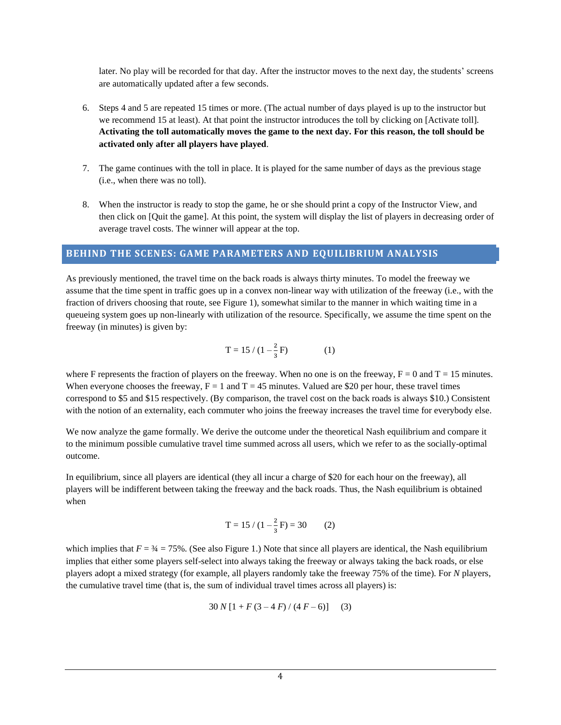later. No play will be recorded for that day. After the instructor moves to the next day, the students' screens are automatically updated after a few seconds.

- 6. Steps 4 and 5 are repeated 15 times or more. (The actual number of days played is up to the instructor but we recommend 15 at least). At that point the instructor introduces the toll by clicking on [Activate toll]. **Activating the toll automatically moves the game to the next day. For this reason, the toll should be activated only after all players have played**.
- 7. The game continues with the toll in place. It is played for the same number of days as the previous stage (i.e., when there was no toll).
- 8. When the instructor is ready to stop the game, he or she should print a copy of the Instructor View, and then click on [Quit the game]. At this point, the system will display the list of players in decreasing order of average travel costs. The winner will appear at the top.

### **BEHIND THE SCENES: GAME PARAMETERS AND EQUILIBRIUM ANALYSIS**

As previously mentioned, the travel time on the back roads is always thirty minutes. To model the freeway we assume that the time spent in traffic goes up in a convex non-linear way with utilization of the freeway (i.e., with the fraction of drivers choosing that route, see Figure 1), somewhat similar to the manner in which waiting time in a queueing system goes up non-linearly with utilization of the resource. Specifically, we assume the time spent on the freeway (in minutes) is given by:

$$
T = 15 / (1 - \frac{2}{3}F)
$$
 (1)

where F represents the fraction of players on the freeway. When no one is on the freeway,  $F = 0$  and  $T = 15$  minutes. When everyone chooses the freeway,  $F = 1$  and  $T = 45$  minutes. Valued are \$20 per hour, these travel times correspond to \$5 and \$15 respectively. (By comparison, the travel cost on the back roads is always \$10.) Consistent with the notion of an externality, each commuter who joins the freeway increases the travel time for everybody else.

We now analyze the game formally. We derive the outcome under the theoretical Nash equilibrium and compare it to the minimum possible cumulative travel time summed across all users, which we refer to as the socially-optimal outcome.

In equilibrium, since all players are identical (they all incur a charge of \$20 for each hour on the freeway), all players will be indifferent between taking the freeway and the back roads. Thus, the Nash equilibrium is obtained when

$$
T = 15 / (1 - \frac{2}{3}F) = 30
$$
 (2)

which implies that  $F = \frac{3}{4} = 75\%$ . (See also Figure 1.) Note that since all players are identical, the Nash equilibrium implies that either some players self-select into always taking the freeway or always taking the back roads, or else players adopt a mixed strategy (for example, all players randomly take the freeway 75% of the time). For *N* players, the cumulative travel time (that is, the sum of individual travel times across all players) is:

$$
30 N [1 + F (3 - 4 F) / (4 F - 6)] \tag{3}
$$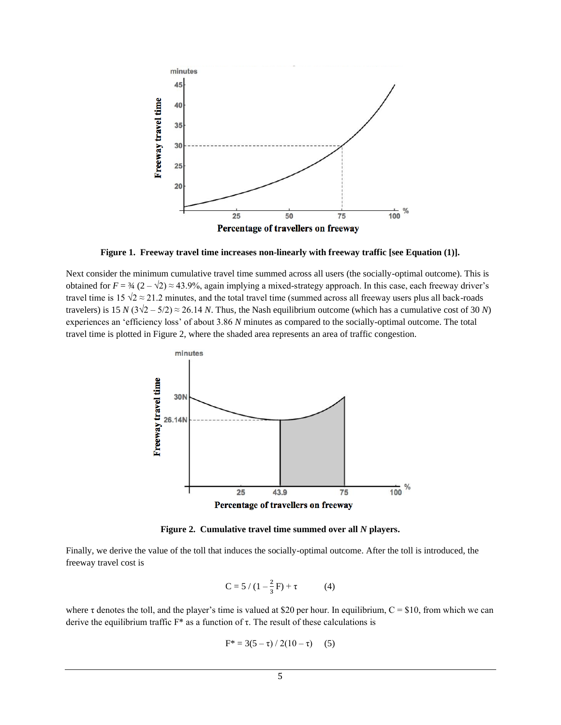

**Figure 1. Freeway travel time increases non-linearly with freeway traffic [see Equation (1)].**

Next consider the minimum cumulative travel time summed across all users (the socially-optimal outcome). This is obtained for  $F = \frac{3}{4} (2 - \sqrt{2}) \approx 43.9\%$ , again implying a mixed-strategy approach. In this case, each freeway driver's travel time is 15  $\sqrt{2} \approx 21.2$  minutes, and the total travel time (summed across all freeway users plus all back-roads travelers) is 15 *N* ( $3\sqrt{2} - 5/2$ ) ≈ 26.14 *N*. Thus, the Nash equilibrium outcome (which has a cumulative cost of 30 *N*) experiences an 'efficiency loss' of about 3.86 *N* minutes as compared to the socially-optimal outcome. The total travel time is plotted in Figure 2, where the shaded area represents an area of traffic congestion.



**Figure 2. Cumulative travel time summed over all** *N* **players.**

Finally, we derive the value of the toll that induces the socially-optimal outcome. After the toll is introduced, the freeway travel cost is

$$
C = 5 / (1 - \frac{2}{3}F) + \tau
$$
 (4)

where  $\tau$  denotes the toll, and the player's time is valued at \$20 per hour. In equilibrium,  $C = $10$ , from which we can derive the equilibrium traffic  $F^*$  as a function of τ. The result of these calculations is

$$
F^* = 3(5 - \tau) / 2(10 - \tau) \quad (5)
$$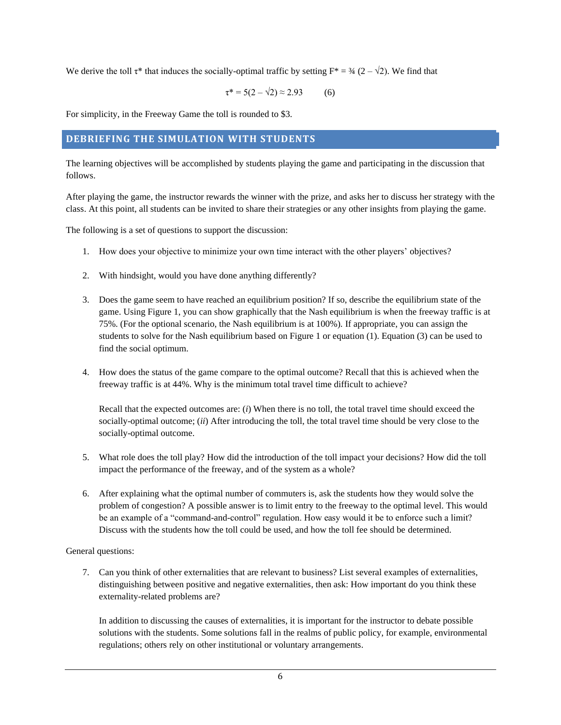We derive the toll  $\tau^*$  that induces the socially-optimal traffic by setting  $F^* = \frac{3}{4} (2 - \sqrt{2})$ . We find that

$$
\tau^* = 5(2 - \sqrt{2}) \approx 2.93 \tag{6}
$$

For simplicity, in the Freeway Game the toll is rounded to \$3.

# **DEBRIEFING THE SIMULATION WITH STUDENTS**

The learning objectives will be accomplished by students playing the game and participating in the discussion that follows.

After playing the game, the instructor rewards the winner with the prize, and asks her to discuss her strategy with the class. At this point, all students can be invited to share their strategies or any other insights from playing the game.

The following is a set of questions to support the discussion:

- 1. How does your objective to minimize your own time interact with the other players' objectives?
- 2. With hindsight, would you have done anything differently?
- 3. Does the game seem to have reached an equilibrium position? If so, describe the equilibrium state of the game. Using Figure 1, you can show graphically that the Nash equilibrium is when the freeway traffic is at 75%. (For the optional scenario, the Nash equilibrium is at 100%). If appropriate, you can assign the students to solve for the Nash equilibrium based on Figure 1 or equation (1). Equation (3) can be used to find the social optimum.
- 4. How does the status of the game compare to the optimal outcome? Recall that this is achieved when the freeway traffic is at 44%. Why is the minimum total travel time difficult to achieve?

Recall that the expected outcomes are: (*i*) When there is no toll, the total travel time should exceed the socially-optimal outcome; (*ii*) After introducing the toll, the total travel time should be very close to the socially-optimal outcome.

- 5. What role does the toll play? How did the introduction of the toll impact your decisions? How did the toll impact the performance of the freeway, and of the system as a whole?
- 6. After explaining what the optimal number of commuters is, ask the students how they would solve the problem of congestion? A possible answer is to limit entry to the freeway to the optimal level. This would be an example of a "command-and-control" regulation. How easy would it be to enforce such a limit? Discuss with the students how the toll could be used, and how the toll fee should be determined.

General questions:

7. Can you think of other externalities that are relevant to business? List several examples of externalities, distinguishing between positive and negative externalities, then ask: How important do you think these externality-related problems are?

In addition to discussing the causes of externalities, it is important for the instructor to debate possible solutions with the students. Some solutions fall in the realms of public policy, for example, environmental regulations; others rely on other institutional or voluntary arrangements.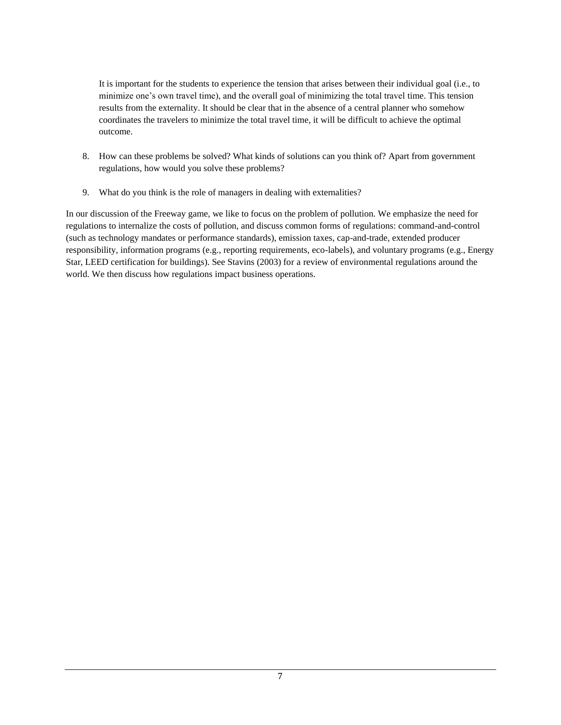It is important for the students to experience the tension that arises between their individual goal (i.e., to minimize one's own travel time), and the overall goal of minimizing the total travel time. This tension results from the externality. It should be clear that in the absence of a central planner who somehow coordinates the travelers to minimize the total travel time, it will be difficult to achieve the optimal outcome.

- 8. How can these problems be solved? What kinds of solutions can you think of? Apart from government regulations, how would you solve these problems?
- 9. What do you think is the role of managers in dealing with externalities?

In our discussion of the Freeway game, we like to focus on the problem of pollution. We emphasize the need for regulations to internalize the costs of pollution, and discuss common forms of regulations: command-and-control (such as technology mandates or performance standards), emission taxes, cap-and-trade, extended producer responsibility, information programs (e.g., reporting requirements, eco-labels), and voluntary programs (e.g., Energy Star, LEED certification for buildings). See Stavins (2003) for a review of environmental regulations around the world. We then discuss how regulations impact business operations.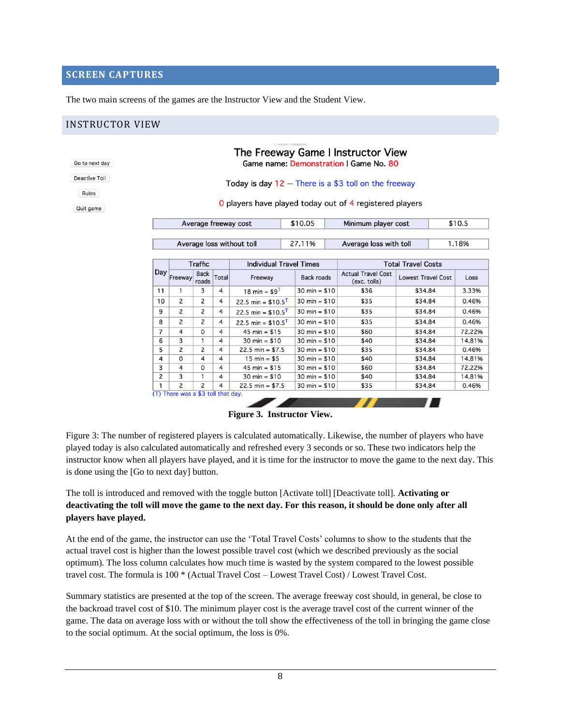## **SCREEN CAPTURES**

The two main screens of the games are the Instructor View and the Student View.

# INSTRUCTOR VIEW

Go to nex Deactive Rules

|                                                       | The Freeway Game I Instructor View<br>Game name: Demonstration   Game No. 80 |                      |       |                                 |                        |                                                         |                           |        |        |
|-------------------------------------------------------|------------------------------------------------------------------------------|----------------------|-------|---------------------------------|------------------------|---------------------------------------------------------|---------------------------|--------|--------|
| Today is day 12 -- There is a \$3 toll on the freeway |                                                                              |                      |       |                                 |                        |                                                         |                           |        |        |
|                                                       |                                                                              |                      |       |                                 |                        | O players have played today out of 4 registered players |                           |        |        |
|                                                       | Average freeway cost<br>Average loss without toll                            |                      |       | \$10.05                         |                        | Minimum player cost                                     |                           | \$10.5 |        |
|                                                       |                                                                              |                      |       |                                 | 27.11%                 | Average loss with toll                                  |                           |        | 1.18%  |
|                                                       |                                                                              | <b>Traffic</b>       |       | <b>Individual Travel Times</b>  |                        |                                                         | <b>Total Travel Costs</b> |        |        |
|                                                       | Day Freeway                                                                  | <b>Back</b><br>roads | Total | Freeway                         | <b>Back roads</b>      | <b>Actual Travel Cost</b><br>(exc. tolls)               | <b>Lowest Travel Cost</b> |        | Loss   |
| 11                                                    | 1                                                                            | 3                    | 4     | 18 min = $$9^T$                 | $30 \text{ min} = $10$ | \$36                                                    | \$34.84                   |        | 3.33%  |
| 10                                                    | 2                                                                            | 2                    | 4     | 22.5 min = $$10.5$ <sup>T</sup> | $30 \text{ min} = $10$ | \$35                                                    | \$34.84                   |        | 0.46%  |
| 9                                                     | 2                                                                            | 2                    | 4     | 22.5 min = $$10.5$ <sup>T</sup> | $30 \text{ min} = $10$ | \$35                                                    | \$34.84                   |        | 0.46%  |
| 8                                                     | 2                                                                            | 2                    | 4     | 22.5 min = $$10.5$ <sup>T</sup> | 30 min = $$10$         | \$35                                                    | \$34.84                   |        | 0.46%  |
| 7                                                     | 4                                                                            | 0                    | 4     | 45 min = $$15$                  | $30 \text{ min} = $10$ | \$60                                                    | \$34.84                   |        | 72.22% |
| 6                                                     | 3                                                                            | 1                    | 4     | $30 \text{ min} = $10$          | $30 \text{ min} = $10$ | \$40                                                    | \$34.84                   |        | 14.81% |
| 5                                                     | 2                                                                            | 2                    | 4     | $22.5 \text{ min} = $7.5$       | $30 \text{ min} = $10$ | \$35                                                    | \$34.84                   |        | 0.46%  |
| 4                                                     | 0                                                                            | 4                    | 4     | $15 \text{ min} = $5$           | 30 min = $$10$         | \$40                                                    | \$34.84                   |        | 14.81% |
| 3                                                     | 4                                                                            | 0                    | 4     | 45 min = $$15$                  | $30 \text{ min} = $10$ | \$60                                                    | \$34.84                   |        | 72.22% |
| $\overline{c}$                                        | 3                                                                            | 1                    | 4     | $30 \text{ min} = $10$          | $30 \text{ min} = $10$ | \$40                                                    | \$34.84                   |        | 14.81% |
| 1                                                     | 2                                                                            | 2                    | 4     | $22.5 \text{ min} = $7.5$       | $30 \text{ min} = $10$ | \$35                                                    | \$34.84                   |        | 0.46%  |

**Figure 3. Instructor View.**

Figure 3: The number of registered players is calculated automatically. Likewise, the number of players who have played today is also calculated automatically and refreshed every 3 seconds or so. These two indicators help the instructor know when all players have played, and it is time for the instructor to move the game to the next day. This is done using the [Go to next day] button.

The toll is introduced and removed with the toggle button [Activate toll] [Deactivate toll]. **Activating or deactivating the toll will move the game to the next day. For this reason, it should be done only after all players have played.**

At the end of the game, the instructor can use the 'Total Travel Costs' columns to show to the students that the actual travel cost is higher than the lowest possible travel cost (which we described previously as the social optimum). The loss column calculates how much time is wasted by the system compared to the lowest possible travel cost. The formula is 100 \* (Actual Travel Cost – Lowest Travel Cost) / Lowest Travel Cost.

Summary statistics are presented at the top of the screen. The average freeway cost should, in general, be close to the backroad travel cost of \$10. The minimum player cost is the average travel cost of the current winner of the game. The data on average loss with or without the toll show the effectiveness of the toll in bringing the game close to the social optimum. At the social optimum, the loss is 0%.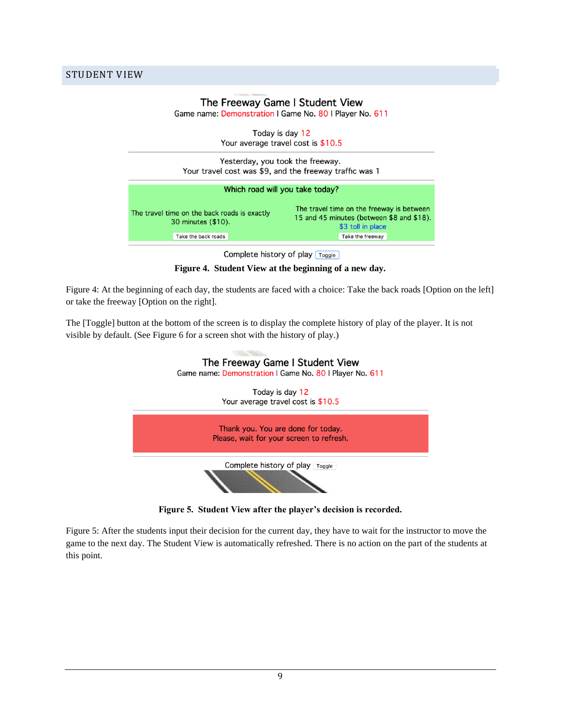STUDENT VIEW

| Game name: Demonstration   Game No. 80   Player No. 611            | The Freeway Game I Student View                                                                             |  |  |  |  |
|--------------------------------------------------------------------|-------------------------------------------------------------------------------------------------------------|--|--|--|--|
| Today is day 12<br>Your average travel cost is \$10.5              |                                                                                                             |  |  |  |  |
|                                                                    |                                                                                                             |  |  |  |  |
| Yesterday, you took the freeway.                                   |                                                                                                             |  |  |  |  |
| Your travel cost was \$9, and the freeway traffic was 1            |                                                                                                             |  |  |  |  |
|                                                                    |                                                                                                             |  |  |  |  |
| Which road will you take today?                                    |                                                                                                             |  |  |  |  |
| The travel time on the back roads is exactly<br>30 minutes (\$10). | The travel time on the freeway is between<br>15 and 45 minutes (between \$8 and \$18).<br>\$3 toll in place |  |  |  |  |

Complete history of play [Toggle]

**Figure 4. Student View at the beginning of a new day.**

Figure 4: At the beginning of each day, the students are faced with a choice: Take the back roads [Option on the left] or take the freeway [Option on the right].

The [Toggle] button at the bottom of the screen is to display the complete history of play of the player. It is not visible by default. (See Figure 6 for a screen shot with the history of play.)



**Figure 5. Student View after the player's decision is recorded.**

Figure 5: After the students input their decision for the current day, they have to wait for the instructor to move the game to the next day. The Student View is automatically refreshed. There is no action on the part of the students at this point.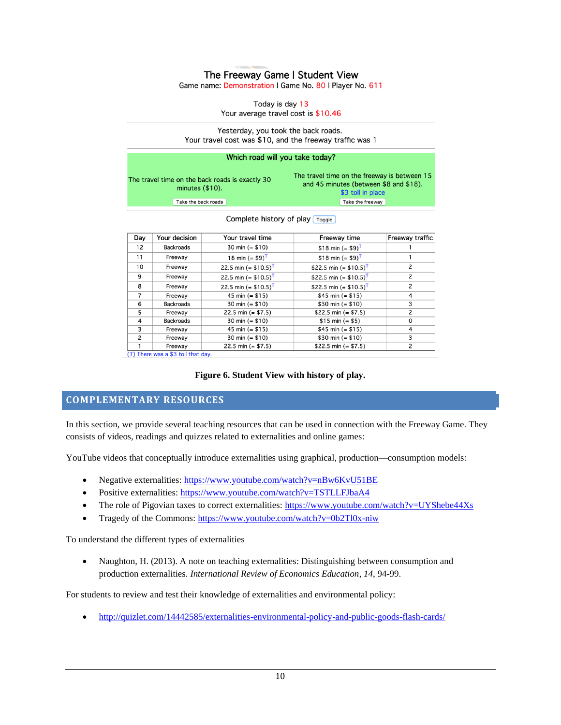## The Freeway Game | Student View

Game name: Demonstration | Game No. 80 | Player No. 611

Today is day 13 Your average travel cost is \$10.46

Yesterday, you took the back roads. Your travel cost was \$10, and the freeway traffic was 1

| Which road will you take today?                                       |                                                                                                             |  |  |  |  |  |
|-----------------------------------------------------------------------|-------------------------------------------------------------------------------------------------------------|--|--|--|--|--|
| The travel time on the back roads is exactly 30<br>minutes $(\$10)$ . | The travel time on the freeway is between 15<br>and 45 minutes (between \$8 and \$18).<br>\$3 toll in place |  |  |  |  |  |
| Take the back roads                                                   | Take the freeway                                                                                            |  |  |  |  |  |

| Day | Your decision                      | Your travel time                   | Freeway time                         | Freeway traffic |
|-----|------------------------------------|------------------------------------|--------------------------------------|-----------------|
| 12  | <b>Backroads</b>                   | 30 min $(= $10)$                   | \$18 min $(= $9)^T$                  |                 |
| 11  | Freeway                            | 18 min $(= $9)^T$                  | \$18 min $(= $9)^T$                  |                 |
| 10  | Freeway                            | 22.5 min (= $$10.5$ ) <sup>T</sup> | \$22.5 min (= $$10.5$ ) <sup>T</sup> | 2               |
| 9   | Freeway                            | 22.5 min (= $$10.5$ ) <sup>T</sup> | \$22.5 min (= $$10.5$ ) <sup>T</sup> | 2               |
| 8   | Freeway                            | 22.5 min (= $$10.5$ ) <sup>T</sup> | \$22.5 min (= $$10.5$ ) <sup>T</sup> | $\overline{c}$  |
| 7   | Freeway                            | 45 min $(= $15)$                   | \$45 min $(= $15)$                   | 4               |
| 6   | <b>Backroads</b>                   | 30 min $(= $10)$                   | \$30 min (= $$10$ )                  | 3               |
| 5   | Freeway                            | $22.5$ min (= \$7.5)               | \$22.5 min (= $$7.5$ )               | 2               |
| 4   | <b>Backroads</b>                   | 30 min $(= $10)$                   | $$15 min (= $5)$                     | 0               |
| 3   | Freeway                            | 45 min $(= $15)$                   | \$45 min $(= $15)$                   | 4               |
| 2   | Freeway                            | 30 min $(= $10)$                   | \$30 min (= $$10$ )                  | 3               |
|     | Freeway                            | $22.5$ min (= \$7.5)               | \$22.5 min (= $$7.5$ )               | 2               |
|     | (T) There was a \$3 toll that day. |                                    |                                      |                 |

#### Complete history of play [Toggle]

#### **Figure 6. Student View with history of play.**

# **COMPLEMENTARY RESOURCES**

In this section, we provide several teaching resources that can be used in connection with the Freeway Game. They consists of videos, readings and quizzes related to externalities and online games:

YouTube videos that conceptually introduce externalities using graphical, production—consumption models:

- Negative externalities[: https://www.youtube.com/watch?v=nBw6KvU51BE](https://www.youtube.com/watch?v=nBw6KvU51BE)
- Positive externalities:<https://www.youtube.com/watch?v=TSTLLFJbaA4>
- The role of Pigovian taxes to correct externalities[: https://www.youtube.com/watch?v=UYShebe44Xs](https://www.youtube.com/watch?v=UYShebe44Xs)
- Tragedy of the Commons:<https://www.youtube.com/watch?v=0b2Tl0x-niw>

To understand the different types of externalities

• Naughton, H. (2013). A note on teaching externalities: Distinguishing between consumption and production externalities. *International Review of Economics Education*, *14*, 94-99.

For students to review and test their knowledge of externalities and environmental policy:

• <http://quizlet.com/14442585/externalities-environmental-policy-and-public-goods-flash-cards/>